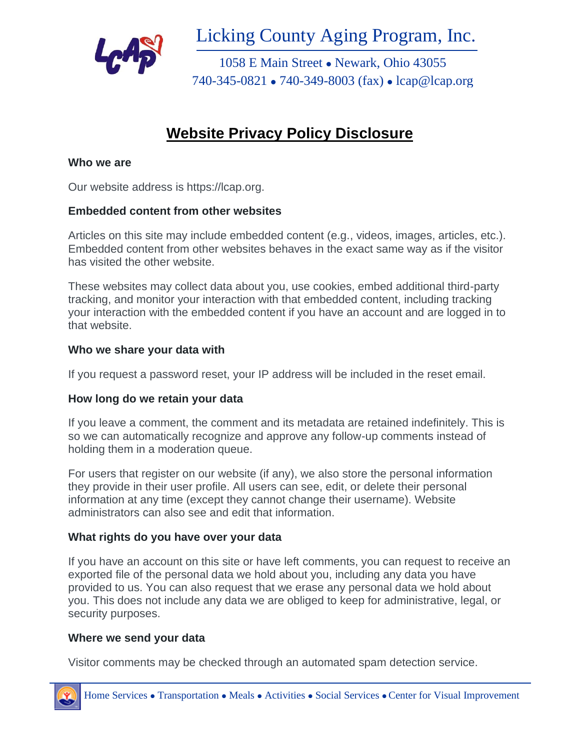

Licking County Aging Program, Inc.

1058 E Main Street ⚫ Newark, Ohio 43055 740-345-0821 ⚫ 740-349-8003 (fax) ⚫ lcap@lcap.org

# **Website Privacy Policy Disclosure**

### **Who we are**

Our website address is https://lcap.org.

# **Embedded content from other websites**

Articles on this site may include embedded content (e.g., videos, images, articles, etc.). Embedded content from other websites behaves in the exact same way as if the visitor has visited the other website.

These websites may collect data about you, use cookies, embed additional third-party tracking, and monitor your interaction with that embedded content, including tracking your interaction with the embedded content if you have an account and are logged in to that website.

### **Who we share your data with**

If you request a password reset, your IP address will be included in the reset email.

# **How long do we retain your data**

If you leave a comment, the comment and its metadata are retained indefinitely. This is so we can automatically recognize and approve any follow-up comments instead of holding them in a moderation queue.

For users that register on our website (if any), we also store the personal information they provide in their user profile. All users can see, edit, or delete their personal information at any time (except they cannot change their username). Website administrators can also see and edit that information.

# **What rights do you have over your data**

If you have an account on this site or have left comments, you can request to receive an exported file of the personal data we hold about you, including any data you have provided to us. You can also request that we erase any personal data we hold about you. This does not include any data we are obliged to keep for administrative, legal, or security purposes.

#### **Where we send your data**

Visitor comments may be checked through an automated spam detection service.